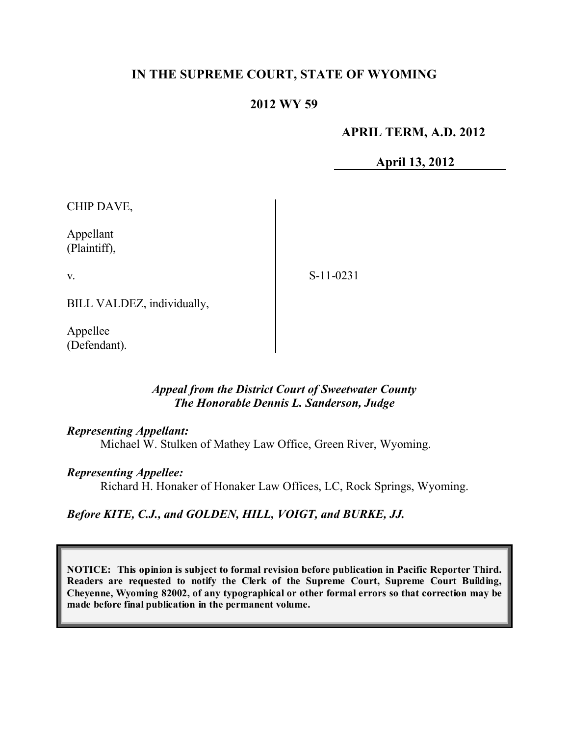# **IN THE SUPREME COURT, STATE OF WYOMING**

# **2012 WY 59**

#### **APRIL TERM, A.D. 2012**

**April 13, 2012**

CHIP DAVE,

Appellant (Plaintiff),

v.

S-11-0231

BILL VALDEZ, individually,

Appellee (Defendant).

#### *Appeal from the District Court of Sweetwater County The Honorable Dennis L. Sanderson, Judge*

#### *Representing Appellant:*

Michael W. Stulken of Mathey Law Office, Green River, Wyoming.

#### *Representing Appellee:*

Richard H. Honaker of Honaker Law Offices, LC, Rock Springs, Wyoming.

# *Before KITE, C.J., and GOLDEN, HILL, VOIGT, and BURKE, JJ.*

**NOTICE: This opinion is subject to formal revision before publication in Pacific Reporter Third. Readers are requested to notify the Clerk of the Supreme Court, Supreme Court Building, Cheyenne, Wyoming 82002, of any typographical or other formal errors so that correction may be made before final publication in the permanent volume.**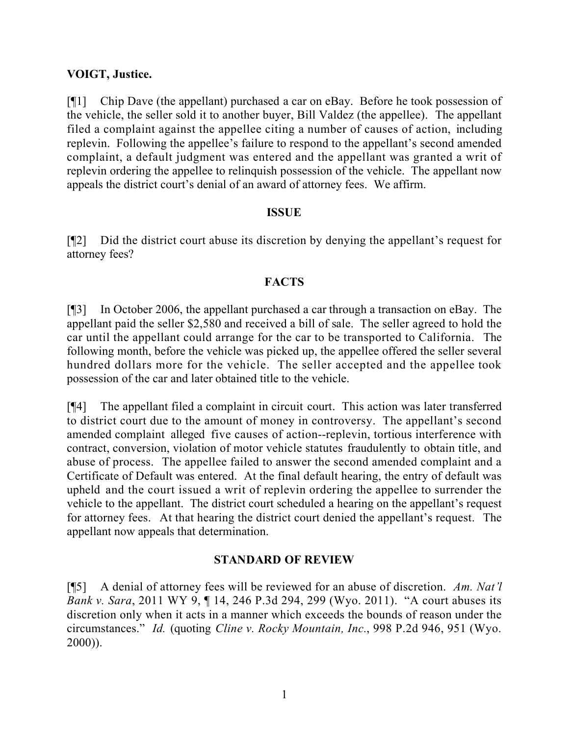# **VOIGT, Justice.**

[¶1] Chip Dave (the appellant) purchased a car on eBay. Before he took possession of the vehicle, the seller sold it to another buyer, Bill Valdez (the appellee). The appellant filed a complaint against the appellee citing a number of causes of action, including replevin. Following the appellee's failure to respond to the appellant's second amended complaint, a default judgment was entered and the appellant was granted a writ of replevin ordering the appellee to relinquish possession of the vehicle. The appellant now appeals the district court's denial of an award of attorney fees. We affirm.

# **ISSUE**

[¶2] Did the district court abuse its discretion by denying the appellant's request for attorney fees?

# **FACTS**

[¶3] In October 2006, the appellant purchased a car through a transaction on eBay. The appellant paid the seller \$2,580 and received a bill of sale. The seller agreed to hold the car until the appellant could arrange for the car to be transported to California. The following month, before the vehicle was picked up, the appellee offered the seller several hundred dollars more for the vehicle. The seller accepted and the appellee took possession of the car and later obtained title to the vehicle.

[¶4] The appellant filed a complaint in circuit court. This action was later transferred to district court due to the amount of money in controversy. The appellant's second amended complaint alleged five causes of action--replevin, tortious interference with contract, conversion, violation of motor vehicle statutes fraudulently to obtain title, and abuse of process. The appellee failed to answer the second amended complaint and a Certificate of Default was entered. At the final default hearing, the entry of default was upheld and the court issued a writ of replevin ordering the appellee to surrender the vehicle to the appellant. The district court scheduled a hearing on the appellant's request for attorney fees. At that hearing the district court denied the appellant's request. The appellant now appeals that determination.

# **STANDARD OF REVIEW**

[¶5] A denial of attorney fees will be reviewed for an abuse of discretion. *Am. Nat'l Bank v. Sara*, 2011 WY 9, ¶ 14, 246 P.3d 294, 299 (Wyo. 2011). "A court abuses its discretion only when it acts in a manner which exceeds the bounds of reason under the circumstances." *Id.* (quoting *Cline v. Rocky Mountain, Inc.*, 998 P.2d 946, 951 (Wyo. 2000)).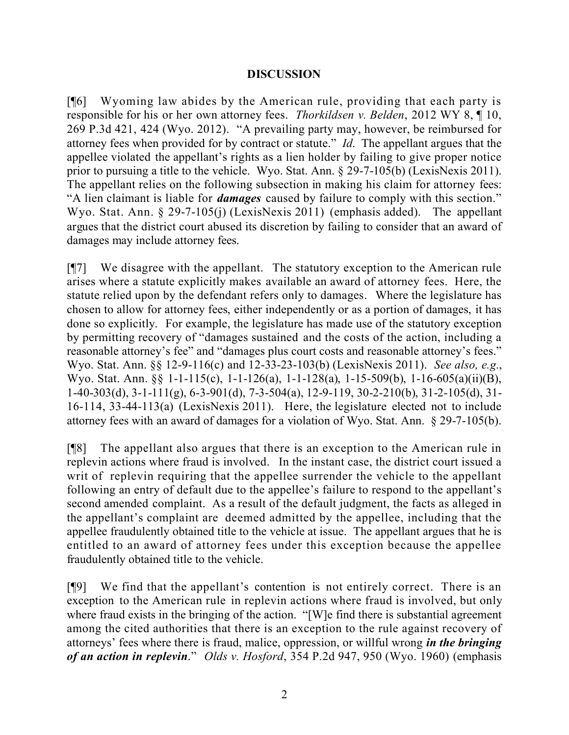#### **DISCUSSION**

[¶6] Wyoming law abides by the American rule, providing that each party is responsible for his or her own attorney fees. *Thorkildsen v. Belden*, 2012 WY 8, ¶ 10, 269 P.3d 421, 424 (Wyo. 2012). "A prevailing party may, however, be reimbursed for attorney fees when provided for by contract or statute." *Id*. The appellant argues that the appellee violated the appellant's rights as a lien holder by failing to give proper notice prior to pursuing a title to the vehicle. Wyo. Stat. Ann. § 29-7-105(b) (LexisNexis 2011). The appellant relies on the following subsection in making his claim for attorney fees: "A lien claimant is liable for *damages* caused by failure to comply with this section." Wyo. Stat. Ann. § 29-7-105(j) (LexisNexis 2011) (emphasis added). The appellant argues that the district court abused its discretion by failing to consider that an award of damages may include attorney fees.

[¶7] We disagree with the appellant. The statutory exception to the American rule arises where a statute explicitly makes available an award of attorney fees. Here, the statute relied upon by the defendant refers only to damages. Where the legislature has chosen to allow for attorney fees, either independently or as a portion of damages, it has done so explicitly. For example, the legislature has made use of the statutory exception by permitting recovery of "damages sustained and the costs of the action, including a reasonable attorney's fee" and "damages plus court costs and reasonable attorney's fees." Wyo. Stat. Ann. §§ 12-9-116(c) and 12-33-23-103(b) (LexisNexis 2011). *See also, e.g.*, Wyo. Stat. Ann. §§ 1-1-115(c), 1-1-126(a), 1-1-128(a), 1-15-509(b), 1-16-605(a)(ii)(B), 1-40-303(d), 3-1-111(g), 6-3-901(d), 7-3-504(a), 12-9-119, 30-2-210(b), 31-2-105(d), 31- 16-114, 33-44-113(a) (LexisNexis 2011). Here, the legislature elected not to include attorney fees with an award of damages for a violation of Wyo. Stat. Ann. § 29-7-105(b).

[¶8] The appellant also argues that there is an exception to the American rule in replevin actions where fraud is involved. In the instant case, the district court issued a writ of replevin requiring that the appellee surrender the vehicle to the appellant following an entry of default due to the appellee's failure to respond to the appellant's second amended complaint. As a result of the default judgment, the facts as alleged in the appellant's complaint are deemed admitted by the appellee, including that the appellee fraudulently obtained title to the vehicle at issue. The appellant argues that he is entitled to an award of attorney fees under this exception because the appellee fraudulently obtained title to the vehicle.

[¶9] We find that the appellant's contention is not entirely correct. There is an exception to the American rule in replevin actions where fraud is involved, but only where fraud exists in the bringing of the action. "[W]e find there is substantial agreement among the cited authorities that there is an exception to the rule against recovery of attorneys' fees where there is fraud, malice, oppression, or willful wrong *in the bringing of an action in replevin*." *Olds v. Hosford*, 354 P.2d 947, 950 (Wyo. 1960) (emphasis